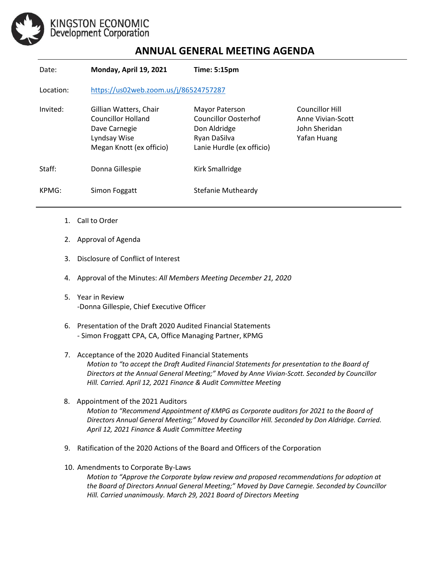

## **ANNUAL GENERAL MEETING AGENDA**

| Date:     | Monday, April 19, 2021                                                                                    | Time: 5:15pm                                                                                        |                                                                             |
|-----------|-----------------------------------------------------------------------------------------------------------|-----------------------------------------------------------------------------------------------------|-----------------------------------------------------------------------------|
| Location: | https://us02web.zoom.us/j/86524757287                                                                     |                                                                                                     |                                                                             |
| Invited:  | Gillian Watters, Chair<br>Councillor Holland<br>Dave Carnegie<br>Lyndsay Wise<br>Megan Knott (ex officio) | Mayor Paterson<br>Councillor Oosterhof<br>Don Aldridge<br>Ryan DaSilva<br>Lanie Hurdle (ex officio) | <b>Councillor Hill</b><br>Anne Vivian-Scott<br>John Sheridan<br>Yafan Huang |
| Staff:    | Donna Gillespie                                                                                           | Kirk Smallridge                                                                                     |                                                                             |
| KPMG:     | Simon Foggatt                                                                                             | Stefanie Mutheardy                                                                                  |                                                                             |

- 1. Call to Order
- 2. Approval of Agenda Presenters: Simon Froggatt CPA, CA, Office Managing Partner, KPMG
	- 3. Disclosure of Conflict of Interest
	- 4. Approval of the Minutes: *All Members Meeting December 21, 2020*
	- 5. Year in Review -Donna Gillespie, Chief Executive Officer
	- 6. Presentation of the Draft 2020 Audited Financial Statements - Simon Froggatt CPA, CA, Office Managing Partner, KPMG
	- 7. Acceptance of the 2020 Audited Financial Statements *Motion to "to accept the Draft Audited Financial Statements for presentation to the Board of Directors at the Annual General Meeting;" Moved by Anne Vivian-Scott. Seconded by Councillor Hill. Carried. April 12, 2021 Finance & Audit Committee Meeting*
	- 8. Appointment of the 2021 Auditors *Motion to "Recommend Appointment of KMPG as Corporate auditors for 2021 to the Board of Directors Annual General Meeting;" Moved by Councillor Hill. Seconded by Don Aldridge. Carried. April 12, 2021 Finance & Audit Committee Meeting*
	- 9. Ratification of the 2020 Actions of the Board and Officers of the Corporation
	- 10. Amendments to Corporate By-Laws

*Motion to "Approve the Corporate bylaw review and proposed recommendations for adoption at the Board of Directors Annual General Meeting;" Moved by Dave Carnegie. Seconded by Councillor Hill. Carried unanimously. March 29, 2021 Board of Directors Meeting*